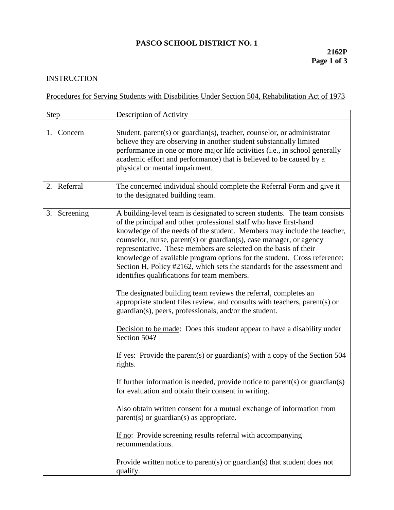## **PASCO SCHOOL DISTRICT NO. 1**

## **INSTRUCTION**

Procedures for Serving Students with Disabilities Under Section 504, Rehabilitation Act of 1973

| <b>Step</b>  | <b>Description of Activity</b>                                                                                                                                                                                                                                                                                                                                                                                                                                                                                                                                                                                                                                                                                                                                                                                                                                                                                                                                                                                                                                                                                                                                                                                                                                                                                                                                                                                        |
|--------------|-----------------------------------------------------------------------------------------------------------------------------------------------------------------------------------------------------------------------------------------------------------------------------------------------------------------------------------------------------------------------------------------------------------------------------------------------------------------------------------------------------------------------------------------------------------------------------------------------------------------------------------------------------------------------------------------------------------------------------------------------------------------------------------------------------------------------------------------------------------------------------------------------------------------------------------------------------------------------------------------------------------------------------------------------------------------------------------------------------------------------------------------------------------------------------------------------------------------------------------------------------------------------------------------------------------------------------------------------------------------------------------------------------------------------|
| 1. Concern   | Student, parent(s) or guardian(s), teacher, counselor, or administrator<br>believe they are observing in another student substantially limited<br>performance in one or more major life activities (i.e., in school generally<br>academic effort and performance) that is believed to be caused by a<br>physical or mental impairment.                                                                                                                                                                                                                                                                                                                                                                                                                                                                                                                                                                                                                                                                                                                                                                                                                                                                                                                                                                                                                                                                                |
| 2. Referral  | The concerned individual should complete the Referral Form and give it<br>to the designated building team.                                                                                                                                                                                                                                                                                                                                                                                                                                                                                                                                                                                                                                                                                                                                                                                                                                                                                                                                                                                                                                                                                                                                                                                                                                                                                                            |
| 3. Screening | A building-level team is designated to screen students. The team consists<br>of the principal and other professional staff who have first-hand<br>knowledge of the needs of the student. Members may include the teacher,<br>counselor, nurse, parent(s) or guardian(s), case manager, or agency<br>representative. These members are selected on the basis of their<br>knowledge of available program options for the student. Cross reference:<br>Section H, Policy #2162, which sets the standards for the assessment and<br>identifies qualifications for team members.<br>The designated building team reviews the referral, completes an<br>appropriate student files review, and consults with teachers, parent(s) or<br>guardian(s), peers, professionals, and/or the student.<br>Decision to be made: Does this student appear to have a disability under<br>Section 504?<br>If yes: Provide the parent(s) or guardian(s) with a copy of the Section $504$<br>rights.<br>If further information is needed, provide notice to parent(s) or guardian(s)<br>for evaluation and obtain their consent in writing.<br>Also obtain written consent for a mutual exchange of information from<br>parent(s) or guardian(s) as appropriate.<br>If no: Provide screening results referral with accompanying<br>recommendations.<br>Provide written notice to parent(s) or guardian(s) that student does not<br>qualify. |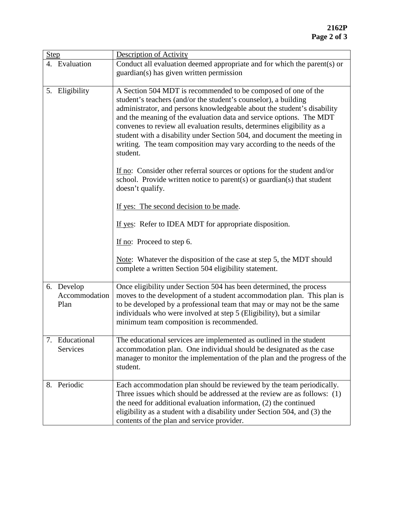| <b>Step</b>                         | <b>Description of Activity</b>                                                                                                                                                                                                                                                                                                                                                                                                                                                                                                                                                                           |
|-------------------------------------|----------------------------------------------------------------------------------------------------------------------------------------------------------------------------------------------------------------------------------------------------------------------------------------------------------------------------------------------------------------------------------------------------------------------------------------------------------------------------------------------------------------------------------------------------------------------------------------------------------|
| 4. Evaluation                       | Conduct all evaluation deemed appropriate and for which the parent(s) or<br>guardian(s) has given written permission                                                                                                                                                                                                                                                                                                                                                                                                                                                                                     |
| 5. Eligibility                      | A Section 504 MDT is recommended to be composed of one of the<br>student's teachers (and/or the student's counselor), a building<br>administrator, and persons knowledgeable about the student's disability<br>and the meaning of the evaluation data and service options. The MDT<br>convenes to review all evaluation results, determines eligibility as a<br>student with a disability under Section 504, and document the meeting in<br>writing. The team composition may vary according to the needs of the<br>student.<br>If no: Consider other referral sources or options for the student and/or |
|                                     | school. Provide written notice to parent(s) or guardian(s) that student<br>doesn't qualify.                                                                                                                                                                                                                                                                                                                                                                                                                                                                                                              |
|                                     | If yes: The second decision to be made.                                                                                                                                                                                                                                                                                                                                                                                                                                                                                                                                                                  |
|                                     | If yes: Refer to IDEA MDT for appropriate disposition.                                                                                                                                                                                                                                                                                                                                                                                                                                                                                                                                                   |
|                                     | If no: Proceed to step 6.                                                                                                                                                                                                                                                                                                                                                                                                                                                                                                                                                                                |
|                                     | Note: Whatever the disposition of the case at step 5, the MDT should<br>complete a written Section 504 eligibility statement.                                                                                                                                                                                                                                                                                                                                                                                                                                                                            |
| 6. Develop<br>Accommodation<br>Plan | Once eligibility under Section 504 has been determined, the process<br>moves to the development of a student accommodation plan. This plan is<br>to be developed by a professional team that may or may not be the same<br>individuals who were involved at step 5 (Eligibility), but a similar<br>minimum team composition is recommended.                                                                                                                                                                                                                                                              |
| 7.<br>Educational<br>Services       | The educational services are implemented as outlined in the student<br>accommodation plan. One individual should be designated as the case<br>manager to monitor the implementation of the plan and the progress of the<br>student.                                                                                                                                                                                                                                                                                                                                                                      |
| Periodic<br>8.                      | Each accommodation plan should be reviewed by the team periodically.<br>Three issues which should be addressed at the review are as follows: (1)<br>the need for additional evaluation information, (2) the continued<br>eligibility as a student with a disability under Section 504, and (3) the<br>contents of the plan and service provider.                                                                                                                                                                                                                                                         |